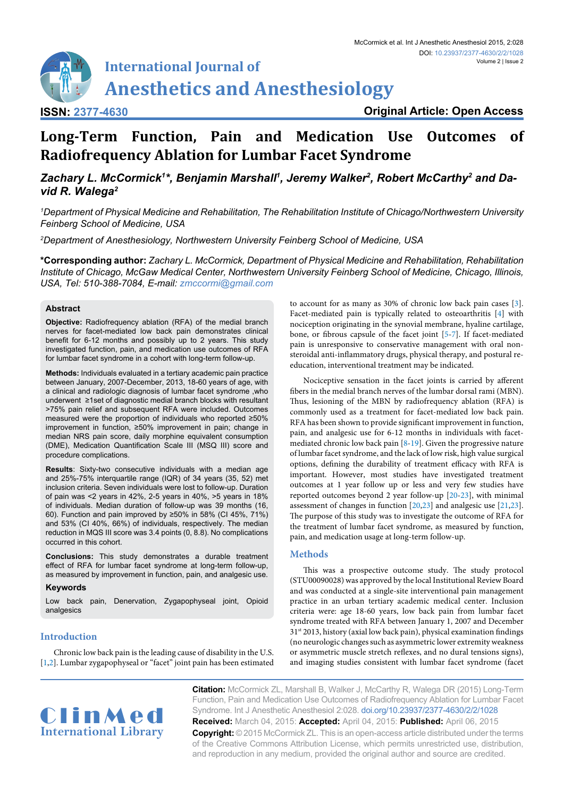# **International Journal of Anesthetics and Anesthesiology**

**ISSN: 2377-4630**

**Original Article: Open Access**

# **Long-Term Function, Pain and Medication Use Outcomes of Radiofrequency Ablation for Lumbar Facet Syndrome**

# Zachary L. McCormick<sup>1\*</sup>, Benjamin Marshall<sup>ı</sup>, Jeremy Walker<sup>2</sup>, Robert McCarthy<sup>2</sup> and Da*vid R. Walega2*

*1 Department of Physical Medicine and Rehabilitation, The Rehabilitation Institute of Chicago/Northwestern University Feinberg School of Medicine, USA*

*2 Department of Anesthesiology, Northwestern University Feinberg School of Medicine, USA*

**\*Corresponding author:** *Zachary L. McCormick, Department of Physical Medicine and Rehabilitation, Rehabilitation Institute of Chicago, McGaw Medical Center, Northwestern University Feinberg School of Medicine, Chicago, Illinois, USA, Tel: 510-388-7084, E-mail: zmccormi@gmail.com*

# **Abstract**

**Objective:** Radiofrequency ablation (RFA) of the medial branch nerves for facet-mediated low back pain demonstrates clinical benefit for 6-12 months and possibly up to 2 years. This study investigated function, pain, and medication use outcomes of RFA for lumbar facet syndrome in a cohort with long-term follow-up.

**Methods:** Individuals evaluated in a tertiary academic pain practice between January, 2007-December, 2013, 18-60 years of age, with a clinical and radiologic diagnosis of lumbar facet syndrome ,who underwent ≥1set of diagnostic medial branch blocks with resultant >75% pain relief and subsequent RFA were included. Outcomes measured were the proportion of individuals who reported ≥50% improvement in function, ≥50% improvement in pain; change in median NRS pain score, daily morphine equivalent consumption (DME), Medication Quantification Scale III (MSQ III) score and procedure complications.

**Results**: Sixty-two consecutive individuals with a median age and 25%-75% interquartile range (IQR) of 34 years (35, 52) met inclusion criteria. Seven individuals were lost to follow-up. Duration of pain was <2 years in 42%, 2-5 years in 40%, >5 years in 18% of individuals. Median duration of follow-up was 39 months (16, 60). Function and pain improved by ≥50% in 58% (CI 45%, 71%) and 53% (CI 40%, 66%) of individuals, respectively. The median reduction in MQS III score was 3.4 points (0, 8.8). No complications occurred in this cohort.

**Conclusions:** This study demonstrates a durable treatment effect of RFA for lumbar facet syndrome at long-term follow-up, as measured by improvement in function, pain, and analgesic use.

## **Keywords**

Low back pain, Denervation, Zygapophyseal joint, Opioid analgesics

# **Introduction**

Chronic low back pain is the leading cause of disability in the U.S. [[1,](#page-4-9)[2](#page-4-10)]. Lumbar zygapophyseal or "facet" joint pain has been estimated to account for as many as 30% of chronic low back pain cases [\[3\]](#page-4-0). Facet-mediated pain is typically related to osteoarthritis [\[4\]](#page-4-1) with nociception originating in the synovial membrane, hyaline cartilage, bone, or fibrous capsule of the facet joint [\[5-](#page-4-2)[7](#page-4-3)]. If facet-mediated pain is unresponsive to conservative management with oral nonsteroidal anti-inflammatory drugs, physical therapy, and postural reeducation, interventional treatment may be indicated.

Nociceptive sensation in the facet joints is carried by afferent fibers in the medial branch nerves of the lumbar dorsal rami (MBN). Thus, lesioning of the MBN by radiofrequency ablation (RFA) is commonly used as a treatment for facet-mediated low back pain. RFA has been shown to provide significant improvement in function, pain, and analgesic use for 6-12 months in individuals with facetmediated chronic low back pain [\[8](#page-4-4)-[19](#page-4-5)]. Given the progressive nature of lumbar facet syndrome, and the lack of low risk, high value surgical options, defining the durability of treatment efficacy with RFA is important. However, most studies have investigated treatment outcomes at 1 year follow up or less and very few studies have reported outcomes beyond 2 year follow-up [\[20](#page-4-6)[-23\]](#page-4-7), with minimal assessment of changes in function [\[20,](#page-4-6)[23](#page-4-7)] and analgesic use [\[21,](#page-4-8)[23\]](#page-4-7). The purpose of this study was to investigate the outcome of RFA for the treatment of lumbar facet syndrome, as measured by function, pain, and medication usage at long-term follow-up.

## **Methods**

This was a prospective outcome study. The study protocol (STU00090028) was approved by the local Institutional Review Board and was conducted at a single-site interventional pain management practice in an urban tertiary academic medical center. Inclusion criteria were: age 18-60 years, low back pain from lumbar facet syndrome treated with RFA between January 1, 2007 and December  $31<sup>st</sup> 2013$ , history (axial low back pain), physical examination findings (no neurologic changes such as asymmetric lower extremity weakness or asymmetric muscle stretch reflexes, and no dural tensions signs), and imaging studies consistent with lumbar facet syndrome (facet



**Citation:** McCormick ZL, Marshall B, Walker J, McCarthy R, Walega DR (2015) Long-Term Function, Pain and Medication Use Outcomes of Radiofrequency Ablation for Lumbar Facet Syndrome. Int J Anesthetic Anesthesiol 2:028. [doi.org/10.23937/2377-4630/2/2/1028](https://doi.org/10.23937/2377-4630/2/2/1028) **Received:** March 04, 2015: **Accepted:** April 04, 2015: **Published:** April 06, 2015 **Copyright:** © 2015 McCormick ZL. This is an open-access article distributed under the terms of the Creative Commons Attribution License, which permits unrestricted use, distribution, and reproduction in any medium, provided the original author and source are credited.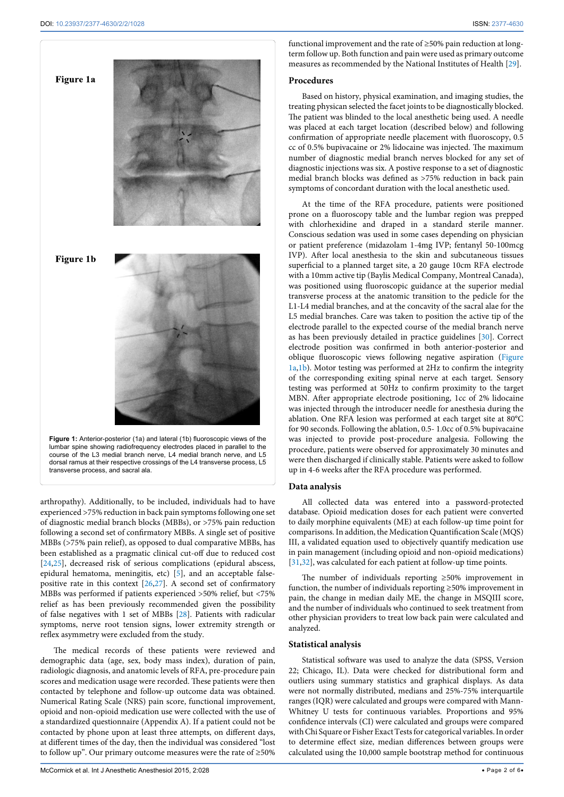<span id="page-1-0"></span>

arthropathy). Additionally, to be included, individuals had to have experienced >75% reduction in back pain symptoms following one set of diagnostic medial branch blocks (MBBs), or >75% pain reduction following a second set of confirmatory MBBs. A single set of positive MBBs (>75% pain relief), as opposed to dual comparative MBBs, has been established as a pragmatic clinical cut-off due to reduced cost [[24](#page-4-11)[,25\]](#page-4-12), decreased risk of serious complications (epidural abscess, epidural hematoma, meningitis, etc) [\[5](#page-4-2)], and an acceptable falsepositive rate in this context [[26](#page-4-13)[,27\]](#page-5-0). A second set of confirmatory MBBs was performed if patients experienced >50% relief, but <75% relief as has been previously recommended given the possibility of false negatives with 1 set of MBBs [[28\]](#page-5-1). Patients with radicular symptoms, nerve root tension signs, lower extremity strength or reflex asymmetry were excluded from the study.

The medical records of these patients were reviewed and demographic data (age, sex, body mass index), duration of pain, radiologic diagnosis, and anatomic levels of RFA, pre-procedure pain scores and medication usage were recorded. These patients were then contacted by telephone and follow-up outcome data was obtained. Numerical Rating Scale (NRS) pain score, functional improvement, opioid and non-opioid medication use were collected with the use of a standardized questionnaire (Appendix A). If a patient could not be contacted by phone upon at least three attempts, on different days, at different times of the day, then the individual was considered "lost to follow up". Our primary outcome measures were the rate of ≥50% functional improvement and the rate of ≥50% pain reduction at longterm follow up. Both function and pain were used as primary outcome measures as recommended by the National Institutes of Health [[29](#page-5-2)].

#### **Procedures**

Based on history, physical examination, and imaging studies, the treating physican selected the facet joints to be diagnostically blocked. The patient was blinded to the local anesthetic being used. A needle was placed at each target location (described below) and following confirmation of appropriate needle placement with fluoroscopy, 0.5 cc of 0.5% bupivacaine or 2% lidocaine was injected. The maximum number of diagnostic medial branch nerves blocked for any set of diagnostic injections was six. A postive response to a set of diagnostic medial branch blocks was defined as >75% reduction in back pain symptoms of concordant duration with the local anesthetic used.

At the time of the RFA procedure, patients were positioned prone on a fluoroscopy table and the lumbar region was prepped with chlorhexidine and draped in a standard sterile manner. Conscious sedation was used in some cases depending on physician or patient preference (midazolam 1-4mg IVP; fentanyl 50-100mcg IVP). After local anesthesia to the skin and subcutaneous tissues superficial to a planned target site, a 20 gauge 10cm RFA electrode with a 10mm active tip (Baylis Medical Company, Montreal Canada), was positioned using fluoroscopic guidance at the superior medial transverse process at the anatomic transition to the pedicle for the L1-L4 medial branches, and at the concavity of the sacral alae for the L5 medial branches. Care was taken to position the active tip of the electrode parallel to the expected course of the medial branch nerve as has been previously detailed in practice guidelines [\[30\]](#page-5-3). Correct electrode position was confirmed in both anterior-posterior and oblique fluoroscopic views following negative aspiration [\(Figure](#page-1-0)  [1a,1b\)](#page-1-0). Motor testing was performed at 2Hz to confirm the integrity of the corresponding exiting spinal nerve at each target. Sensory testing was performed at 50Hz to confirm proximity to the target MBN. After appropriate electrode positioning, 1cc of 2% lidocaine was injected through the introducer needle for anesthesia during the ablation. One RFA lesion was performed at each target site at 80°C for 90 seconds. Following the ablation, 0.5- 1.0cc of 0.5% bupivacaine was injected to provide post-procedure analgesia. Following the procedure, patients were observed for approximately 30 minutes and were then discharged if clinically stable. Patients were asked to follow up in 4-6 weeks after the RFA procedure was performed.

#### **Data analysis**

All collected data was entered into a password-protected database. Opioid medication doses for each patient were converted to daily morphine equivalents (ME) at each follow-up time point for comparisons. In addition, the Medication Quantification Scale (MQS) III, a validated equation used to objectively quantify medication use in pain management (including opioid and non-opioid medications) [[31](#page-5-4),[32](#page-5-5)], was calculated for each patient at follow-up time points.

The number of individuals reporting ≥50% improvement in function, the number of individuals reporting ≥50% improvement in pain, the change in median daily ME, the change in MSQIII score, and the number of individuals who continued to seek treatment from other physician providers to treat low back pain were calculated and analyzed.

#### **Statistical analysis**

Statistical software was used to analyze the data (SPSS, Version 22; Chicago, IL). Data were checked for distributional form and outliers using summary statistics and graphical displays. As data were not normally distributed, medians and 25%-75% interquartile ranges (IQR) were calculated and groups were compared with Mann-Whitney U tests for continuous variables. Proportions and 95% confidence intervals (CI) were calculated and groups were compared with Chi Square or Fisher Exact Tests for categorical variables. In order to determine effect size, median differences between groups were calculated using the 10,000 sample bootstrap method for continuous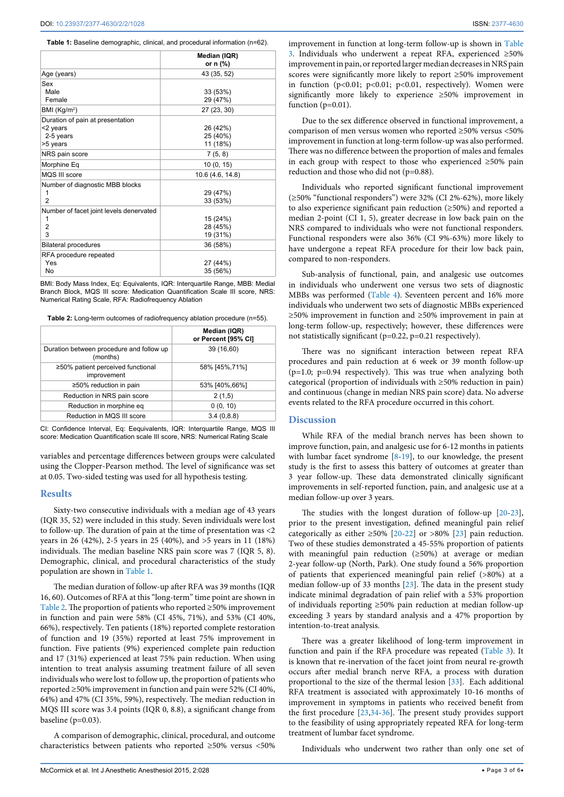<span id="page-2-0"></span>**Table 1:** Baseline demographic, clinical, and procedural information (n=62).

|                                                                                         | Median (IQR)<br>or $n$ (%)                  |
|-----------------------------------------------------------------------------------------|---------------------------------------------|
| Age (years)                                                                             | 43 (35, 52)                                 |
| Sex<br>Male<br>Female                                                                   | 33 (53%)<br>29 (47%)                        |
| BMI (Kg/m <sup>2</sup> )                                                                | 27 (23, 30)                                 |
| Duration of pain at presentation<br><2 years<br>2-5 years<br>>5 years<br>NRS pain score | 26 (42%)<br>25 (40%)<br>11 (18%)<br>7(5, 8) |
| Morphine Eq                                                                             | 10(0, 15)                                   |
| MQS III score                                                                           | 10.6 (4.6, 14.8)                            |
| Number of diagnostic MBB blocks<br>1<br>$\overline{2}$                                  | 29 (47%)<br>33 (53%)                        |
| Number of facet joint levels denervated<br>1<br>$\overline{2}$<br>3                     | 15 (24%)<br>28 (45%)<br>19 (31%)            |
| <b>Bilateral procedures</b>                                                             | 36 (58%)                                    |
| RFA procedure repeated<br>Yes<br>No                                                     | 27 (44%)<br>35 (56%)                        |

BMI: Body Mass Index, Eq: Equivalents, IQR: Interquartile Range, MBB: Medial Branch Block, MQS III score: Medication Quantification Scale III score, NRS: Numerical Rating Scale, RFA: Radiofrequency Ablation

<span id="page-2-1"></span>**Table 2:** Long-term outcomes of radiofrequency ablation procedure (n=55).

|                                                      | Median (IQR)<br>or Percent [95% CI] |
|------------------------------------------------------|-------------------------------------|
| Duration between procedure and follow up<br>(months) | 39 (16,60)                          |
| ≥50% patient perceived functional<br>improvement     | 58% [45%, 71%]                      |
| $\geq$ 50% reduction in pain                         | 53% [40%,66%]                       |
| Reduction in NRS pain score                          | 2(1,5)                              |
| Reduction in morphine eg                             | 0(0, 10)                            |
| Reduction in MQS III score                           | 3.4(0.8.8)                          |

CI: Confidence Interval, Eq: Eequivalents, IQR: Interquartile Range, MQS III score: Medication Quantification scale III score, NRS: Numerical Rating Scale

variables and percentage differences between groups were calculated using the Clopper-Pearson method. The level of significance was set at 0.05. Two-sided testing was used for all hypothesis testing.

#### **Results**

Sixty-two consecutive individuals with a median age of 43 years (IQR 35, 52) were included in this study. Seven individuals were lost to follow-up. The duration of pain at the time of presentation was <2 years in 26 (42%), 2-5 years in 25 (40%), and >5 years in 11 (18%) individuals. The median baseline NRS pain score was 7 (IQR 5, 8). Demographic, clinical, and procedural characteristics of the study population are shown in [Table 1](#page-2-0).

The median duration of follow-up after RFA was 39 months (IQR 16, 60). Outcomes of RFA at this "long-term" time point are shown in [Table 2.](#page-2-1) The proportion of patients who reported ≥50% improvement in function and pain were 58% (CI 45%, 71%), and 53% (CI 40%, 66%), respectively. Ten patients (18%) reported complete restoration of function and 19 (35%) reported at least 75% improvement in function. Five patients (9%) experienced complete pain reduction and 17 (31%) experienced at least 75% pain reduction. When using intention to treat analysis assuming treatment failure of all seven individuals who were lost to follow up, the proportion of patients who reported ≥50% improvement in function and pain were 52% (CI 40%, 64%) and 47% (CI 35%, 59%), respectively. The median reduction in MQS III score was 3.4 points (IQR 0, 8.8), a significant change from baseline (p=0.03).

A comparison of demographic, clinical, procedural, and outcome characteristics between patients who reported ≥50% versus <50% improvement in function at long-term follow-up is shown in [Table](#page-3-0)  [3](#page-3-0). Individuals who underwent a repeat RFA, experienced ≥50% improvement in pain, or reported larger median decreases in NRS pain scores were significantly more likely to report ≥50% improvement in function ( $p<0.01$ ;  $p<0.01$ ;  $p<0.01$ , respectively). Women were significantly more likely to experience ≥50% improvement in function  $(p=0.01)$ .

Due to the sex difference observed in functional improvement, a comparison of men versus women who reported ≥50% versus <50% improvement in function at long-term follow-up was also performed. There was no difference between the proportion of males and females in each group with respect to those who experienced ≥50% pain reduction and those who did not (p=0.88).

Individuals who reported significant functional improvement (≥50% "functional responders") were 32% (CI 2%-62%), more likely to also experience significant pain reduction (≥50%) and reported a median 2-point (CI 1, 5), greater decrease in low back pain on the NRS compared to individuals who were not functional responders. Functional responders were also 36% (CI 9%-63%) more likely to have undergone a repeat RFA procedure for their low back pain, compared to non-responders.

Sub-analysis of functional, pain, and analgesic use outcomes in individuals who underwent one versus two sets of diagnostic MBBs was performed ([Table 4](#page-3-1)). Seventeen percent and 16% more individuals who underwent two sets of diagnostic MBBs experienced ≥50% improvement in function and ≥50% improvement in pain at long-term follow-up, respectively; however, these differences were not statistically significant (p=0.22, p=0.21 respectively).

There was no significant interaction between repeat RFA procedures and pain reduction at 6 week or 39 month follow-up  $(p=1.0; p=0.94$  respectively). This was true when analyzing both categorical (proportion of individuals with ≥50% reduction in pain) and continuous (change in median NRS pain score) data. No adverse events related to the RFA procedure occurred in this cohort.

#### **Discussion**

While RFA of the medial branch nerves has been shown to improve function, pain, and analgesic use for 6-12 months in patients with lumbar facet syndrome [\[8-](#page-4-4)[19](#page-4-5)], to our knowledge, the present study is the first to assess this battery of outcomes at greater than 3 year follow-up. These data demonstrated clinically significant improvements in self-reported function, pain, and analgesic use at a median follow-up over 3 years.

The studies with the longest duration of follow-up [\[20-](#page-4-6)[23\]](#page-4-7), prior to the present investigation, defined meaningful pain relief categorically as either  $\geq 50\%$  [[20](#page-4-6)-[22](#page-4-14)] or  $>80\%$  [[23\]](#page-4-7) pain reduction. Two of these studies demonstrated a 45-55% proportion of patients with meaningful pain reduction (≥50%) at average or median 2-year follow-up (North, Park). One study found a 56% proportion of patients that experienced meaningful pain relief (>80%) at a median follow-up of 33 months [\[23\]](#page-4-7). The data in the present study indicate minimal degradation of pain relief with a 53% proportion of individuals reporting ≥50% pain reduction at median follow-up exceeding 3 years by standard analysis and a 47% proportion by intention-to-treat analysis.

There was a greater likelihood of long-term improvement in function and pain if the RFA procedure was repeated ([Table 3\)](#page-3-0). It is known that re-inervation of the facet joint from neural re-growth occurs after medial branch nerve RFA, a process with duration proportional to the size of the thermal lesion [\[33\]](#page-5-6). Each additional RFA treatment is associated with approximately 10-16 months of improvement in symptoms in patients who received benefit from the first procedure [\[23](#page-4-7)[,34-](#page-5-7)[36\]](#page-5-8). The present study provides support to the feasibility of using appropriately repeated RFA for long-term treatment of lumbar facet syndrome.

Individuals who underwent two rather than only one set of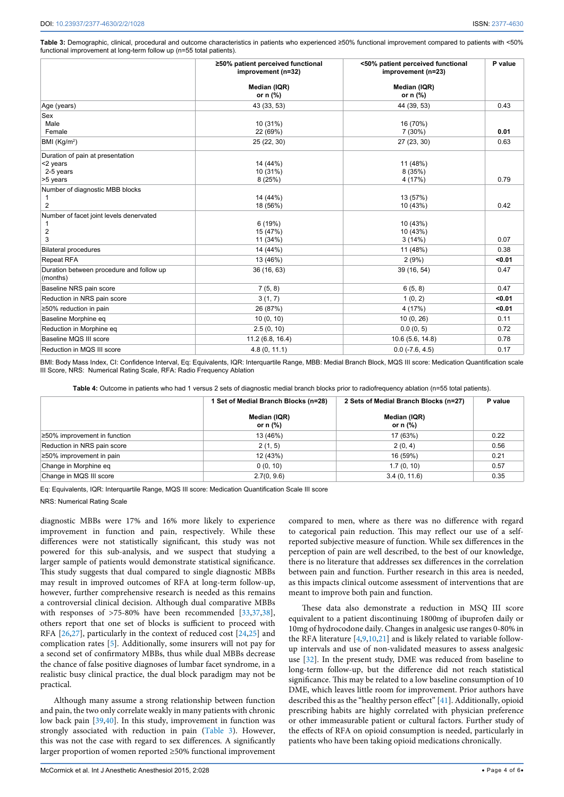<span id="page-3-0"></span>**Table 3:** Demographic, clinical, procedural and outcome characteristics in patients who experienced ≥50% functional improvement compared to patients with <50% functional improvement at long-term follow up (n=55 total patients).

|                                                                       | ≥50% patient perceived functional<br>improvement (n=32) | <50% patient perceived functional<br>improvement (n=23) | P value |
|-----------------------------------------------------------------------|---------------------------------------------------------|---------------------------------------------------------|---------|
|                                                                       | Median (IQR)<br>or $n$ $%$                              | Median (IQR)<br>or $n$ (%)                              |         |
| Age (years)                                                           | 43 (33, 53)                                             | 44 (39, 53)                                             | 0.43    |
| Sex<br>Male<br>Female                                                 | 10 (31%)<br>22 (69%)                                    | 16 (70%)<br>7 (30%)                                     | 0.01    |
| BMI $(Kg/m2)$                                                         | 25 (22, 30)                                             | 27 (23, 30)                                             | 0.63    |
| Duration of pain at presentation<br><2 years<br>2-5 years<br>>5 years | 14 (44%)<br>10 (31%)<br>8(25%)                          | 11 (48%)<br>8 (35%)<br>4 (17%)                          | 0.79    |
| Number of diagnostic MBB blocks<br>1<br>$\overline{2}$                | 14 (44%)<br>18 (56%)                                    | 13 (57%)<br>10 (43%)                                    | 0.42    |
| Number of facet joint levels denervated<br>$\overline{2}$<br>3        | 6(19%)<br>15 (47%)<br>11 (34%)                          | 10 (43%)<br>10 (43%)<br>3(14%)                          | 0.07    |
| <b>Bilateral procedures</b>                                           | 14 (44%)                                                | 11 (48%)                                                | 0.38    |
| <b>Repeat RFA</b>                                                     | 13 (46%)                                                | 2(9%)                                                   | < 0.01  |
| Duration between procedure and follow up<br>(months)                  | 36 (16, 63)                                             | 39 (16, 54)                                             | 0.47    |
| Baseline NRS pain score                                               | 7(5, 8)                                                 | 6(5, 8)                                                 | 0.47    |
| Reduction in NRS pain score                                           | 3(1, 7)                                                 | 1(0, 2)                                                 | < 0.01  |
| ≥50% reduction in pain                                                | 26 (87%)                                                | 4 (17%)                                                 | < 0.01  |
| Baseline Morphine eq                                                  | 10(0, 10)                                               | 10(0, 26)                                               | 0.11    |
| Reduction in Morphine eq                                              | 2.5(0, 10)                                              | 0.0(0, 5)                                               | 0.72    |
| Baseline MQS III score                                                | 11.2 (6.8, 16.4)                                        | 10.6 (5.6, 14.8)                                        | 0.78    |
| Reduction in MQS III score                                            | 4.8(0, 11.1)                                            | $0.0$ ( $-7.6$ , $4.5$ )                                | 0.17    |

BMI: Body Mass Index, CI: Confidence Interval, Eq: Equivalents, IQR: Interquartile Range, MBB: Medial Branch Block, MQS III score: Medication Quantification scale III Score, NRS: Numerical Rating Scale, RFA: Radio Frequency Ablation

<span id="page-3-1"></span>**Table 4:** Outcome in patients who had 1 versus 2 sets of diagnostic medial branch blocks prior to radiofrequency ablation (n=55 total patients).

|                                     | 1 Set of Medial Branch Blocks (n=28) | 2 Sets of Medial Branch Blocks (n=27) | P value |
|-------------------------------------|--------------------------------------|---------------------------------------|---------|
|                                     | Median (IQR)<br>or n (%)             | Median (IQR)<br>or n (%)              |         |
| $\geq 50\%$ improvement in function | 13 (46%)                             | 17 (63%)                              | 0.22    |
| Reduction in NRS pain score         | 2(1, 5)                              | 2(0, 4)                               | 0.56    |
| $\geq 50\%$ improvement in pain     | 12 (43%)                             | 16 (59%)                              | 0.21    |
| Change in Morphine eq               | 0(0, 10)                             | 1.7(0, 10)                            | 0.57    |
| Change in MQS III score             | 2.7(0, 9.6)                          | 3.4(0, 11.6)                          | 0.35    |

Eq: Equivalents, IQR: Interquartile Range, MQS III score: Medication Quantification Scale III score

NRS: Numerical Rating Scale

diagnostic MBBs were 17% and 16% more likely to experience improvement in function and pain, respectively. While these differences were not statistically significant, this study was not powered for this sub-analysis, and we suspect that studying a larger sample of patients would demonstrate statistical significance. This study suggests that dual compared to single diagnostic MBBs may result in improved outcomes of RFA at long-term follow-up, however, further comprehensive research is needed as this remains a controversial clinical decision. Although dual comparative MBBs with responses of >75-80% have been recommended [\[33](#page-5-6)[,37,](#page-5-9)[38](#page-5-10)], others report that one set of blocks is sufficient to proceed with RFA [[26](#page-4-13),[27](#page-5-0)], particularly in the context of reduced cost [[24](#page-4-11),[25](#page-4-12)] and complication rates [\[5\]](#page-4-2). Additionally, some insurers will not pay for a second set of confirmatory MBBs, thus while dual MBBs decrease the chance of false positive diagnoses of lumbar facet syndrome, in a realistic busy clinical practice, the dual block paradigm may not be practical.

Although many assume a strong relationship between function and pain, the two only correlate weakly in many patients with chronic low back pain [[39](#page-5-11)[,40\]](#page-5-12). In this study, improvement in function was strongly associated with reduction in pain [\(Table 3\)](#page-3-0). However, this was not the case with regard to sex differences. A significantly larger proportion of women reported ≥50% functional improvement

compared to men, where as there was no difference with regard to categorical pain reduction. This may reflect our use of a selfreported subjective measure of function. While sex differences in the perception of pain are well described, to the best of our knowledge, there is no literature that addresses sex differences in the correlation between pain and function. Further research in this area is needed, as this impacts clinical outcome assessment of interventions that are meant to improve both pain and function.

These data also demonstrate a reduction in MSQ III score equivalent to a patient discontinuing 1800mg of ibuprofen daily or 10mg of hydrocodone daily. Changes in analgesic use ranges 0-80% in the RFA literature [\[4](#page-4-1)[,9,](#page-4-15)[10](#page-4-16),[21](#page-4-8)] and is likely related to variable followup intervals and use of non-validated measures to assess analgesic use [\[32\]](#page-5-5). In the present study, DME was reduced from baseline to long-term follow-up, but the difference did not reach statistical significance. This may be related to a low baseline consumption of 10 DME, which leaves little room for improvement. Prior authors have described this as the "healthy person effect" [[41](#page-5-13)]. Additionally, opioid prescribing habits are highly correlated with physician preference or other immeasurable patient or cultural factors. Further study of the effects of RFA on opioid consumption is needed, particularly in patients who have been taking opioid medications chronically.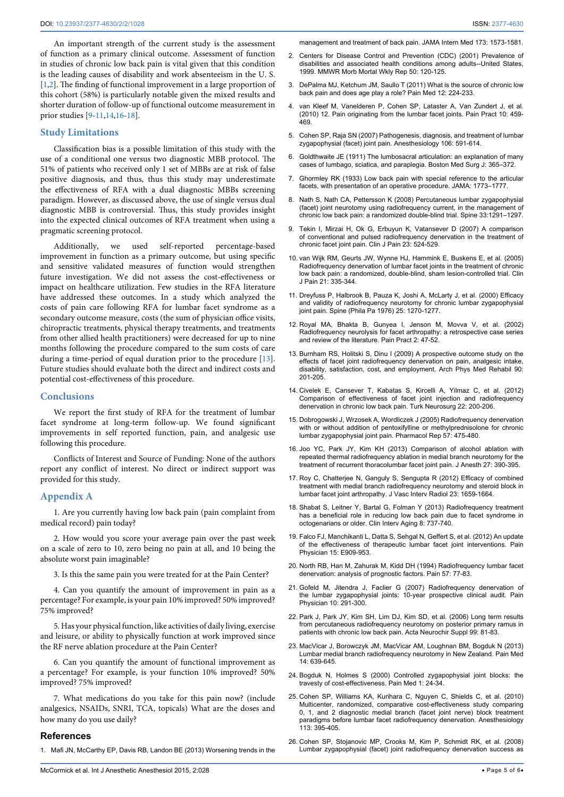An important strength of the current study is the assessment of function as a primary clinical outcome. Assessment of function in studies of chronic low back pain is vital given that this condition is the leading causes of disability and work absenteeism in the U. S. [[1,](#page-4-9)[2](#page-4-10)]. The finding of functional improvement in a large proportion of this cohort (58%) is particularly notable given the mixed results and shorter duration of follow-up of functional outcome measurement in prior studies [\[9-](#page-4-15)[11](#page-4-17)[,14](#page-4-18)[,16-](#page-4-19)[18\]](#page-4-20).

#### **Study Limitations**

Classification bias is a possible limitation of this study with the use of a conditional one versus two diagnostic MBB protocol. The 51% of patients who received only 1 set of MBBs are at risk of false positive diagnosis, and thus, thus this study may underestimate the effectiveness of RFA with a dual diagnostic MBBs screening paradigm. However, as discussed above, the use of single versus dual diagnostic MBB is controversial. Thus, this study provides insight into the expected clinical outcomes of RFA treatment when using a pragmatic screening protocol.

Additionally, we used self-reported percentage-based improvement in function as a primary outcome, but using specific and sensitive validated measures of function would strengthen future investigation. We did not assess the cost-effectiveness or impact on healthcare utilization. Few studies in the RFA literature have addressed these outcomes. In a study which analyzed the costs of pain care following RFA for lumbar facet syndrome as a secondary outcome measure, costs (the sum of physician office visits, chiropractic treatments, physical therapy treatments, and treatments from other allied health practitioners) were decreased for up to nine months following the procedure compared to the sum costs of care during a time-period of equal duration prior to the procedure [[13](#page-4-21)]. Future studies should evaluate both the direct and indirect costs and potential cost-effectiveness of this procedure.

#### **Conclusions**

We report the first study of RFA for the treatment of lumbar facet syndrome at long-term follow-up. We found significant improvements in self reported function, pain, and analgesic use following this procedure.

Conflicts of Interest and Source of Funding: None of the authors report any conflict of interest. No direct or indirect support was provided for this study.

#### **Appendix A**

1. Are you currently having low back pain (pain complaint from medical record) pain today?

2. How would you score your average pain over the past week on a scale of zero to 10, zero being no pain at all, and 10 being the absolute worst pain imaginable?

3. Is this the same pain you were treated for at the Pain Center?

4. Can you quantify the amount of improvement in pain as a percentage? For example, is your pain 10% improved? 50% improved? 75% improved?

5. Has your physical function, like activities of daily living, exercise and leisure, or ability to physically function at work improved since the RF nerve ablation procedure at the Pain Center?

6. Can you quantify the amount of functional improvement as a percentage? For example, is your function 10% improved? 50% improved? 75% improved?

7. What medications do you take for this pain now? (include analgesics, NSAIDs, SNRI, TCA, topicals) What are the doses and how many do you use daily?

#### **References**

<span id="page-4-9"></span>1. [Mafi JN, McCarthy EP, Davis RB, Landon BE \(2013\) Worsening trends in the](http://www.ncbi.nlm.nih.gov/pubmed/23896698) 

<span id="page-4-10"></span>[management and treatment of back pain. JAMA Intern Med 173: 1573-1581.](http://www.ncbi.nlm.nih.gov/pubmed/23896698)

- 2. [Centers for Disease Control and Prevention \(CDC\) \(2001\) Prevalence of](http://www.ncbi.nlm.nih.gov/pubmed/11393491)  [disabilities and associated health conditions among adults--United States,](http://www.ncbi.nlm.nih.gov/pubmed/11393491)  [1999. MMWR Morb Mortal Wkly Rep 50: 120-125.](http://www.ncbi.nlm.nih.gov/pubmed/11393491)
- <span id="page-4-0"></span>3. [DePalma MJ, Ketchum JM, Saullo T \(2011\) What is the source of chronic low](http://www.ncbi.nlm.nih.gov/pubmed/21266006)  [back pain and does age play a role? Pain Med 12: 224-233.](http://www.ncbi.nlm.nih.gov/pubmed/21266006)
- <span id="page-4-1"></span>4. [van Kleef M, Vanelderen P, Cohen SP, Lataster A, Van Zundert J, et al.](http://www.ncbi.nlm.nih.gov/pubmed/20667027)  [\(2010\) 12. Pain originating from the lumbar facet joints. Pain Pract 10: 459-](http://www.ncbi.nlm.nih.gov/pubmed/20667027)  $469$
- <span id="page-4-2"></span>5. [Cohen SP, Raja SN \(2007\) Pathogenesis, diagnosis, and treatment of lumbar](http://www.ncbi.nlm.nih.gov/pubmed/17325518)  [zygapophysial \(facet\) joint pain. Anesthesiology 106: 591-614.](http://www.ncbi.nlm.nih.gov/pubmed/17325518)
- 6. [Goldthwaite JE \(1911\) The lumbosacral articulation: an explanation of many](http://www.nejm.org/doi/full/10.1056/NEJM191103161641101)  [cases of lumbago, sciatica, and paraplegia. Boston Med Surg J: 365–372.](http://www.nejm.org/doi/full/10.1056/NEJM191103161641101)
- <span id="page-4-3"></span>7. [Ghormley RK \(1933\) Low back pain with special reference to the articular](http://jama.jamanetwork.com/article.aspx?articleid=246300)  [facets, with presentation of an operative procedure. JAMA: 1773–1777.](http://jama.jamanetwork.com/article.aspx?articleid=246300)
- <span id="page-4-4"></span>8. Nath S, Nath CA, Pettersson K (2008) Percutaneous lumbar zygapophysial [\(facet\) joint neurotomy using radiofrequency current, in the management of](http://www.ncbi.nlm.nih.gov/pubmed/18496338)  [chronic low back pain: a randomized double-blind trial. Spine 33:1291–1297.](http://www.ncbi.nlm.nih.gov/pubmed/18496338)
- <span id="page-4-15"></span>9. [Tekin I, Mirzai H, Ok G, Erbuyun K, Vatansever D \(2007\) A comparison](http://www.ncbi.nlm.nih.gov/pubmed/17575493)  [of conventional and pulsed radiofrequency denervation in the treatment of](http://www.ncbi.nlm.nih.gov/pubmed/17575493)  [chronic facet joint pain. Clin J Pain 23: 524-529.](http://www.ncbi.nlm.nih.gov/pubmed/17575493)
- <span id="page-4-16"></span>10. [van Wijk RM, Geurts JW, Wynne HJ, Hammink E, Buskens E, et al. \(2005\)](http://www.ncbi.nlm.nih.gov/pubmed/15951652)  [Radiofrequency denervation of lumbar facet joints in the treatment of chronic](http://www.ncbi.nlm.nih.gov/pubmed/15951652)  [low back pain: a randomized, double-blind, sham lesion-controlled trial. Clin](http://www.ncbi.nlm.nih.gov/pubmed/15951652)  [J Pain 21: 335-344.](http://www.ncbi.nlm.nih.gov/pubmed/15951652)
- <span id="page-4-17"></span>11. [Dreyfuss P, Halbrook B, Pauza K, Joshi A, McLarty J, et al. \(2000\) Efficacy](http://www.ncbi.nlm.nih.gov/pubmed/10806505)  [and validity of radiofrequency neurotomy for chronic lumbar zygapophysial](http://www.ncbi.nlm.nih.gov/pubmed/10806505)  [joint pain. Spine \(Phila Pa 1976\) 25: 1270-1277.](http://www.ncbi.nlm.nih.gov/pubmed/10806505)
- 12. [Royal MA, Bhakta B, Gunyea I, Jenson M, Movva V, et al. \(2002\)](http://www.ncbi.nlm.nih.gov/pubmed/17134469)  [Radiofrequency neurolysis for facet arthropathy: a retrospective case series](http://www.ncbi.nlm.nih.gov/pubmed/17134469)  [and review of the literature. Pain Pract 2: 47-52.](http://www.ncbi.nlm.nih.gov/pubmed/17134469)
- <span id="page-4-21"></span>13. [Burnham RS, Holitski S, Dinu I \(2009\) A prospective outcome study on the](http://www.ncbi.nlm.nih.gov/pubmed/19236974)  effects of facet joint radiofrequency denervation on pain, analgesic intake, [disability, satisfaction, cost, and employment. Arch Phys Med Rehabil 90:](http://www.ncbi.nlm.nih.gov/pubmed/19236974)  [201-205.](http://www.ncbi.nlm.nih.gov/pubmed/19236974)
- <span id="page-4-18"></span>14. [Civelek E, Cansever T, Kabatas S, Kircelli A, Yilmaz C, et al. \(2012\)](http://www.ncbi.nlm.nih.gov/pubmed/22437295)  [Comparison of effectiveness of facet joint injection and radiofrequency](http://www.ncbi.nlm.nih.gov/pubmed/22437295)  [denervation in chronic low back pain. Turk Neurosurg 22: 200-206.](http://www.ncbi.nlm.nih.gov/pubmed/22437295)
- 15. [Dobrogowski J, Wrzosek A, Wordliczek J \(2005\) Radiofrequency denervation](http://www.ncbi.nlm.nih.gov/pubmed/16129914)  with or without addition of pentoxifylline or methylprednisolone for chronic [lumbar zygapophysial joint pain. Pharmacol Rep 57: 475-480.](http://www.ncbi.nlm.nih.gov/pubmed/16129914)
- <span id="page-4-19"></span>16. [Joo YC, Park JY, Kim KH \(2013\) Comparison of alcohol ablation with](http://www.ncbi.nlm.nih.gov/pubmed/23192698)  [repeated thermal radiofrequency ablation in medial branch neurotomy for the](http://www.ncbi.nlm.nih.gov/pubmed/23192698)  [treatment of recurrent thoracolumbar facet joint pain. J Anesth 27: 390-395.](http://www.ncbi.nlm.nih.gov/pubmed/23192698)
- 17. [Roy C, Chatterjee N, Ganguly S, Sengupta R \(2012\) Efficacy of combined](http://www.ncbi.nlm.nih.gov/pubmed/23177113)  [treatment with medial branch radiofrequency neurotomy and steroid block in](http://www.ncbi.nlm.nih.gov/pubmed/23177113)  [lumbar facet joint arthropathy. J Vasc Interv Radiol 23: 1659-1664.](http://www.ncbi.nlm.nih.gov/pubmed/23177113)
- <span id="page-4-20"></span>18. [Shabat S, Leitner Y, Bartal G, Folman Y \(2013\) Radiofrequency treatment](http://www.ncbi.nlm.nih.gov/pubmed/23818771)  [has a beneficial role in reducing low back pain due to facet syndrome in](http://www.ncbi.nlm.nih.gov/pubmed/23818771)  [octogenarians or older. Clin Interv Aging 8: 737-740.](http://www.ncbi.nlm.nih.gov/pubmed/23818771)
- <span id="page-4-5"></span>19. [Falco FJ, Manchikanti L, Datta S, Sehgal N, Geffert S, et al. \(2012\) An update](http://www.ncbi.nlm.nih.gov/pubmed/23159980)  [of the effectiveness of therapeutic lumbar facet joint interventions. Pain](http://www.ncbi.nlm.nih.gov/pubmed/23159980)  [Physician 15: E909-953.](http://www.ncbi.nlm.nih.gov/pubmed/23159980)
- <span id="page-4-6"></span>20. [North RB, Han M, Zahurak M, Kidd DH \(1994\) Radiofrequency lumbar facet](http://www.ncbi.nlm.nih.gov/pubmed/8065800)  [denervation: analysis of prognostic factors. Pain 57: 77-83.](http://www.ncbi.nlm.nih.gov/pubmed/8065800)
- <span id="page-4-8"></span>21. [Gofeld M, Jitendra J, Faclier G \(2007\) Radiofrequency denervation of](http://www.ncbi.nlm.nih.gov/pubmed/17387351)  [the lumbar zygapophysial joints: 10-year prospective clinical audit. Pain](http://www.ncbi.nlm.nih.gov/pubmed/17387351)  [Physician 10: 291-300.](http://www.ncbi.nlm.nih.gov/pubmed/17387351)
- <span id="page-4-14"></span>22. [Park J, Park JY, Kim SH, Lim DJ, Kim SD, et al. \(2006\) Long term results](http://www.ncbi.nlm.nih.gov/pubmed/17370770)  [from percutaneous radiofrequency neurotomy on posterior primary ramus in](http://www.ncbi.nlm.nih.gov/pubmed/17370770)  [patients with chronic low back pain. Acta Neurochir Suppl 99: 81-83.](http://www.ncbi.nlm.nih.gov/pubmed/17370770)
- <span id="page-4-7"></span>23. [MacVicar J, Borowczyk JM, MacVicar AM, Loughnan BM, Bogduk N \(2013\)](http://www.ncbi.nlm.nih.gov/pubmed/23279154)  [Lumbar medial branch radiofrequency neurotomy in New Zealand. Pain Med](http://www.ncbi.nlm.nih.gov/pubmed/23279154)  [14: 639-645.](http://www.ncbi.nlm.nih.gov/pubmed/23279154)
- <span id="page-4-11"></span>24. [Bogduk N, Holmes S \(2000\) Controlled zygapophysial joint blocks: the](http://www.ncbi.nlm.nih.gov/pubmed/15101961)  [travesty of cost-effectiveness. Pain Med 1: 24-34.](http://www.ncbi.nlm.nih.gov/pubmed/15101961)
- <span id="page-4-12"></span>25. [Cohen SP, Williams KA, Kurihara C, Nguyen C, Shields C, et al. \(2010\)](http://www.ncbi.nlm.nih.gov/pubmed/20613471)  [Multicenter, randomized, comparative cost-effectiveness study comparing](http://www.ncbi.nlm.nih.gov/pubmed/20613471)  [0, 1, and 2 diagnostic medial branch \(facet joint nerve\) block treatment](http://www.ncbi.nlm.nih.gov/pubmed/20613471)  [paradigms before lumbar facet radiofrequency denervation. Anesthesiology](http://www.ncbi.nlm.nih.gov/pubmed/20613471)   $113: 395 - 405$
- <span id="page-4-13"></span>26. [Cohen SP, Stojanovic MP, Crooks M, Kim P, Schmidt RK, et al. \(2008\)](http://www.ncbi.nlm.nih.gov/pubmed/17662665)  [Lumbar zygapophysial \(facet\) joint radiofrequency denervation success as](http://www.ncbi.nlm.nih.gov/pubmed/17662665)